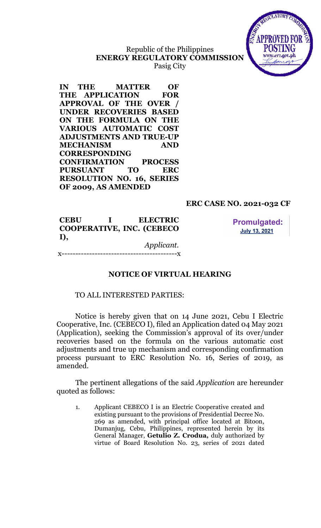# Republic of the Philippines ENERGY REGULATORY COMMISSION Pasig City



IN THE MATTER OF THE APPLICATION FOR APPROVAL OF THE OVER / UNDER RECOVERIES BASED ON THE FORMULA ON THE VARIOUS AUTOMATIC COST ADJUSTMENTS AND TRUE-UP MECHANISM AND CORRESPONDING CONFIRMATION PROCESS PURSUANT TO ERC RESOLUTION NO. 16, SERIES OF 2009, AS AMENDED

### ERC CASE NO. 2021-032 CF

CEBU I ELECTRIC COOPERATIVE, INC. (CEBECO I), Applicant.

**Promulgated: July 13, 2021** 

x------------------------------------------x

#### NOTICE OF VIRTUAL HEARING

#### TO ALL INTERESTED PARTIES:

Notice is hereby given that on 14 June 2021, Cebu I Electric Cooperative, Inc. (CEBECO I), filed an Application dated 04 May 2021 (Application), seeking the Commission's approval of its over/under recoveries based on the formula on the various automatic cost adjustments and true up mechanism and corresponding confirmation process pursuant to ERC Resolution No. 16, Series of 2019, as amended.

The pertinent allegations of the said Application are hereunder quoted as follows:

1. Applicant CEBECO I is an Electric Cooperative created and existing pursuant to the provisions of Presidential Decree No. 269 as amended, with principal office located at Bitoon, Dumanjug, Cebu, Philippines, represented herein by its General Manager, Getulio Z. Crodua, duly authorized by virtue of Board Resolution No. 23, series of 2021 dated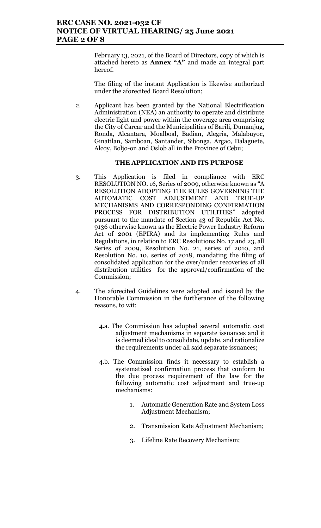February 13, 2021, of the Board of Directors, copy of which is attached hereto as Annex "A" and made an integral part hereof.

The filing of the instant Application is likewise authorized under the aforecited Board Resolution;

2. Applicant has been granted by the National Electrification Administration (NEA) an authority to operate and distribute electric light and power within the coverage area comprising the City of Carcar and the Municipalities of Barili, Dumanjug, Ronda, Alcantara, Moalboal, Badian, Alegria, Malabuyoc, Ginatilan, Samboan, Santander, Sibonga, Argao, Dalaguete, Alcoy, Boljo-on and Oslob all in the Province of Cebu;

#### THE APPLICATION AND ITS PURPOSE

- 3. This Application is filed in compliance with ERC RESOLUTION NO. 16, Series of 2009, otherwise known as "A RESOLUTION ADOPTING THE RULES GOVERNING THE AUTOMATIC COST ADJUSTMENT AND TRUE-UP MECHANISMS AND CORRESPONDING CONFIRMATION PROCESS FOR DISTRIBUTION UTILITIES" adopted pursuant to the mandate of Section 43 of Republic Act No. 9136 otherwise known as the Electric Power Industry Reform Act of 2001 (EPIRA) and its implementing Rules and Regulations, in relation to ERC Resolutions No. 17 and 23, all Series of 2009, Resolution No. 21, series of 2010, and Resolution No. 10, series of 2018, mandating the filing of consolidated application for the over/under recoveries of all distribution utilities for the approval/confirmation of the Commission;
- 4. The aforecited Guidelines were adopted and issued by the Honorable Commission in the furtherance of the following reasons, to wit:
	- 4.a. The Commission has adopted several automatic cost adjustment mechanisms in separate issuances and it is deemed ideal to consolidate, update, and rationalize the requirements under all said separate issuances;
	- 4.b. The Commission finds it necessary to establish a systematized confirmation process that conform to the due process requirement of the law for the following automatic cost adjustment and true-up mechanisms:
		- 1. Automatic Generation Rate and System Loss Adjustment Mechanism;
		- 2. Transmission Rate Adjustment Mechanism;
		- 3. Lifeline Rate Recovery Mechanism;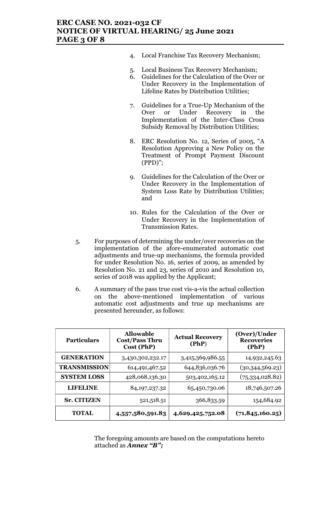### ERC CASE NO. 2021-032 CF NOTICE OF VIRTUAL HEARING/ 25 June 2021 PAGE 3 OF 8

- 4. Local Franchise Tax Recovery Mechanism;
- 5. Local Business Tax Recovery Mechanism;
- 6. Guidelines for the Calculation of the Over or Under Recovery in the Implementation of Lifeline Rates by Distribution Utilities;
- 7. Guidelines for a True-Up Mechanism of the Over or Under Recovery in the Implementation of the Inter-Class Cross Subsidy Removal by Distribution Utilities;
- 8. ERC Resolution No. 12, Series of 2005, "A Resolution Approving a New Policy on the Treatment of Prompt Payment Discount (PPD)";
- 9. Guidelines for the Calculation of the Over or Under Recovery in the Implementation of System Loss Rate by Distribution Utilities; and
- 10. Rules for the Calculation of the Over or Under Recovery in the Implementation of Transmission Rates.
- 5. For purposes of determining the under/over recoveries on the implementation of the afore-enumerated automatic cost adjustments and true-up mechanisms, the formula provided for under Resolution No. 16, series of 2009, as amended by Resolution No. 21 and 23, series of 2010 and Resolution 10, series of 2018 was applied by the Applicant;
- 6. A summary of the pass true cost vis-a-vis the actual collection on the above-mentioned implementation of various automatic cost adjustments and true up mechanisms are presented hereunder, as follows:

| <b>Particulars</b> | <b>Allowable</b><br><b>Cost/Pass Thru</b><br>Cost (PhP) | <b>Actual Recovery</b><br>(PhP) | (Over)/Under<br><b>Recoveries</b><br>(PhP) |
|--------------------|---------------------------------------------------------|---------------------------------|--------------------------------------------|
| <b>GENERATION</b>  | 3,430,302,232.17                                        | 3,415,369,986.55                | 14,932,245.63                              |
| TRANSMISSION       | 614,491,467.52                                          | 644,836,036.76                  | (30,344,569.23)                            |
| <b>SYSTEM LOSS</b> | 428,068,136.30                                          | 503,402,165.12                  | (75,334,028.82)                            |
| <b>LIFELINE</b>    | 84, 197, 237. 32                                        | 65,450,730.06                   | 18,746,507.26                              |
| <b>Sr. CITIZEN</b> | 521,518.51                                              | 366,833.59                      | 154,684.92                                 |
| <b>TOTAL</b>       | 4,557,580,591.83                                        | 4,629,425,752.08                | (71, 845, 160.25)                          |

The foregoing amounts are based on the computations hereto attached as **Annex** "B";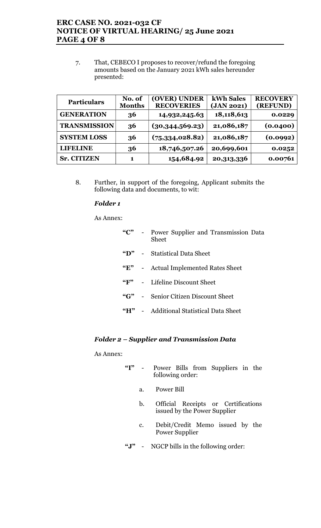## ERC CASE NO. 2021-032 CF NOTICE OF VIRTUAL HEARING/ 25 June 2021 PAGE 4 OF 8

7. That, CEBECO I proposes to recover/refund the foregoing amounts based on the January 2021 kWh sales hereunder presented:

| <b>Particulars</b>  | No. of<br><b>Months</b> | (OVER) UNDER<br><b>RECOVERIES</b> | kWh Sales<br>(JAN 2021) | <b>RECOVERY</b><br>(REFUND) |
|---------------------|-------------------------|-----------------------------------|-------------------------|-----------------------------|
| <b>GENERATION</b>   | 36                      | 14,932,245.63                     | 18,118,613              | 0.0229                      |
| <b>TRANSMISSION</b> | 36                      | (30,344,569.23)                   | 21,086,187              | (0.0400)                    |
| <b>SYSTEM LOSS</b>  | 36                      | (75, 334, 028.82)                 | 21,086,187              | (0.0992)                    |
| LIBELINE            | 36                      | 18,746,507.26                     | 20,699,601              | 0.0252                      |
| <b>Sr. CITIZEN</b>  | 1                       | 154,684.92                        | 20, 313, 336            | 0.00761                     |

8. Further, in support of the foregoing, Applicant submits the following data and documents, to wit:

#### Folder 1

As Annex:

| $C^{\prime\prime}$ -                    | Power Supplier and Transmission Data<br>Sheet |
|-----------------------------------------|-----------------------------------------------|
| $\mathbf{G}(\mathbf{D})$                | - Statistical Data Sheet                      |
| $\mathbf{F}$                            | - Actual Implemented Rates Sheet              |
| $\mathbf{G}$ $\mathbf{F}$ <sup>39</sup> | - Lifeline Discount Sheet                     |
| $\mathcal{C}$ $\mathbf{G}$              | Senior Citizen Discount Sheet                 |
|                                         | "H" - Additional Statistical Data Sheet       |
|                                         |                                               |

### Folder 2 – Supplier and Transmission Data

As Annex:

| "T" |    | Power Bills from Suppliers in the<br>following order:               |
|-----|----|---------------------------------------------------------------------|
|     | a. | Power Bill                                                          |
|     | b. | Official Receipts or Certifications<br>issued by the Power Supplier |
|     | c. | Debit/Credit Memo issued by the<br>Power Supplier                   |

"J" - NGCP bills in the following order: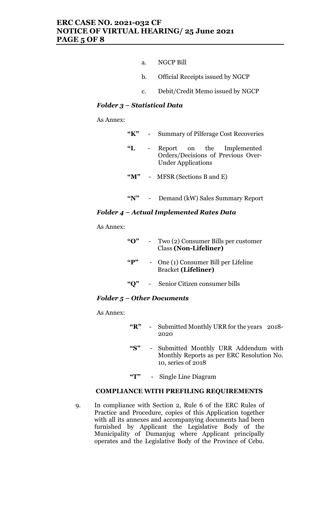- a. NGCP Bill
- b. Official Receipts issued by NGCP
- c. Debit/Credit Memo issued by NGCP

### Folder 3 – Statistical Data

As Annex:

| "K"              | <b>Summary of Pilferage Cost Recoveries</b>                                                  |  |  |
|------------------|----------------------------------------------------------------------------------------------|--|--|
| $\mathbf{L}$     | Report on the Implemented<br>Orders/Decisions of Previous Over-<br><b>Under Applications</b> |  |  |
| $\mathbf{M}$ "   | MFSR (Sections B and E)                                                                      |  |  |
| $\mathbf{W}^{n}$ | Demand (kW) Sales Summary Report                                                             |  |  |

#### Folder 4 – Actual Implemented Rates Data

As Annex:

| $\mathbf{G}$ | Two (2) Consumer Bills per customer<br><b>Class (Non-Lifeliner)</b> |
|--------------|---------------------------------------------------------------------|
| $\mathbf{G}$ | - One (1) Consumer Bill per Lifeline<br><b>Bracket (Lifeliner)</b>  |
| " $O$ "      | Senior Citizen consumer bills                                       |

### Folder 5 – Other Documents

As Annex:

- "R" Submitted Monthly URR for the years 2018- 2020
- "S" Submitted Monthly URR Addendum with Monthly Reports as per ERC Resolution No. 10, series of 2018
- "T" Single Line Diagram

#### COMPLIANCE WITH PREFILING REQUIREMENTS

9. In compliance with Section 2, Rule 6 of the ERC Rules of Practice and Procedure, copies of this Application together with all its annexes and accompanying documents had been furnished by Applicant the Legislative Body of the Municipality of Dumanjug where Applicant principally operates and the Legislative Body of the Province of Cebu.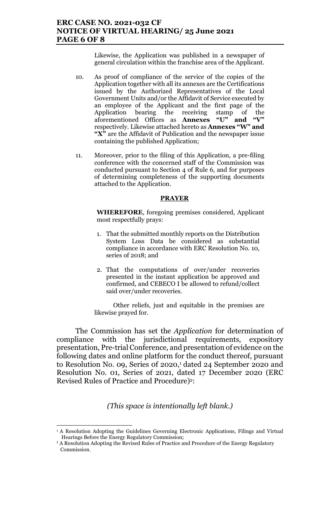#### ERC CASE NO. 2021-032 CF NOTICE OF VIRTUAL HEARING/ 25 June 2021 PAGE 6 OF 8

Likewise, the Application was published in a newspaper of general circulation within the franchise area of the Applicant.

- 10. As proof of compliance of the service of the copies of the Application together with all its annexes are the Certifications issued by the Authorized Representatives of the Local Government Units and/or the Affidavit of Service executed by an employee of the Applicant and the first page of the Application bearing the receiving stamp of the aforementioned Offices as **Annexes** "U" and "V" aforementioned Offices as Annexes "U" and "V" respectively. Likewise attached hereto as Annexes "W" and "X" are the Affidavit of Publication and the newspaper issue containing the published Application;
- 11. Moreover, prior to the filing of this Application, a pre-filing conference with the concerned staff of the Commission was conducted pursuant to Section 4 of Rule 6, and for purposes of determining completeness of the supporting documents attached to the Application.

#### **PRAYER**

WHEREFORE, foregoing premises considered, Applicant most respectfully prays:

- 1. That the submitted monthly reports on the Distribution System Loss Data be considered as substantial compliance in accordance with ERC Resolution No. 10, series of 2018; and
- 2. That the computations of over/under recoveries presented in the instant application be approved and confirmed, and CEBECO I be allowed to refund/collect said over/under recoveries.

Other reliefs, just and equitable in the premises are likewise prayed for.

The Commission has set the Application for determination of compliance with the jurisdictional requirements, expository presentation, Pre-trial Conference, and presentation of evidence on the following dates and online platform for the conduct thereof, pursuant to Resolution No. 09, Series of 2020,<sup>1</sup> dated 24 September 2020 and Resolution No. 01, Series of 2021, dated 17 December 2020 (ERC Revised Rules of Practice and Procedure)<sup>2</sup>:

(This space is intentionally left blank.)

<sup>&</sup>lt;sup>1</sup> A Resolution Adopting the Guidelines Governing Electronic Applications, Filings and Virtual Hearings Before the Energy Regulatory Commission;

 $2A$  Resolution Adopting the Revised Rules of Practice and Procedure of the Energy Regulatory Commission.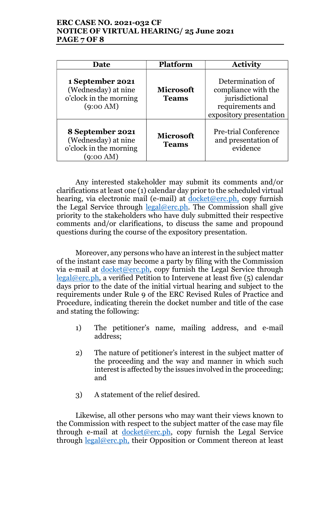### ERC CASE NO. 2021-032 CF NOTICE OF VIRTUAL HEARING/ 25 June 2021 PAGE 7 OF 8

| <b>Date</b>                                                                              | <b>Platform</b>                                                                                                                              | <b>Activity</b>                                                |  |
|------------------------------------------------------------------------------------------|----------------------------------------------------------------------------------------------------------------------------------------------|----------------------------------------------------------------|--|
| 1 September 2021<br>(Wednesday) at nine<br>o'clock in the morning<br>$(9:00 \text{ AM})$ | Determination of<br>compliance with the<br><b>Microsoft</b><br>jurisdictional<br><b>Teams</b><br>requirements and<br>expository presentation |                                                                |  |
| 8 September 2021<br>(Wednesday) at nine<br>o'clock in the morning<br>$(9:00 \text{ AM})$ | <b>Microsoft</b><br><b>Teams</b>                                                                                                             | <b>Pre-trial Conference</b><br>and presentation of<br>evidence |  |

Any interested stakeholder may submit its comments and/or clarifications at least one (1) calendar day prior to the scheduled virtual hearing, via electronic mail (e-mail) at docket@erc.ph, copy furnish the Legal Service through legal@erc.ph. The Commission shall give priority to the stakeholders who have duly submitted their respective comments and/or clarifications, to discuss the same and propound questions during the course of the expository presentation.

Moreover, any persons who have an interest in the subject matter of the instant case may become a party by filing with the Commission via e-mail at  $\frac{\text{docket@erc.ph}}{\text{docost@erc.ph}}$ , copy furnish the Legal Service through  $\text{legal@erc.ph, a verified Petition to Intervene at least five (5) calendar}$ days prior to the date of the initial virtual hearing and subject to the requirements under Rule 9 of the ERC Revised Rules of Practice and Procedure, indicating therein the docket number and title of the case and stating the following:

- 1) The petitioner's name, mailing address, and e-mail address;
- 2) The nature of petitioner's interest in the subject matter of the proceeding and the way and manner in which such interest is affected by the issues involved in the proceeding; and
- 3) A statement of the relief desired.

Likewise, all other persons who may want their views known to the Commission with respect to the subject matter of the case may file through e-mail at  $doeket@erc.ph$ , copy furnish the Legal Service through  $\frac{\text{legal@erc.ph.}}{\text{their } \text{Opposition}}$  or Comment thereon at least